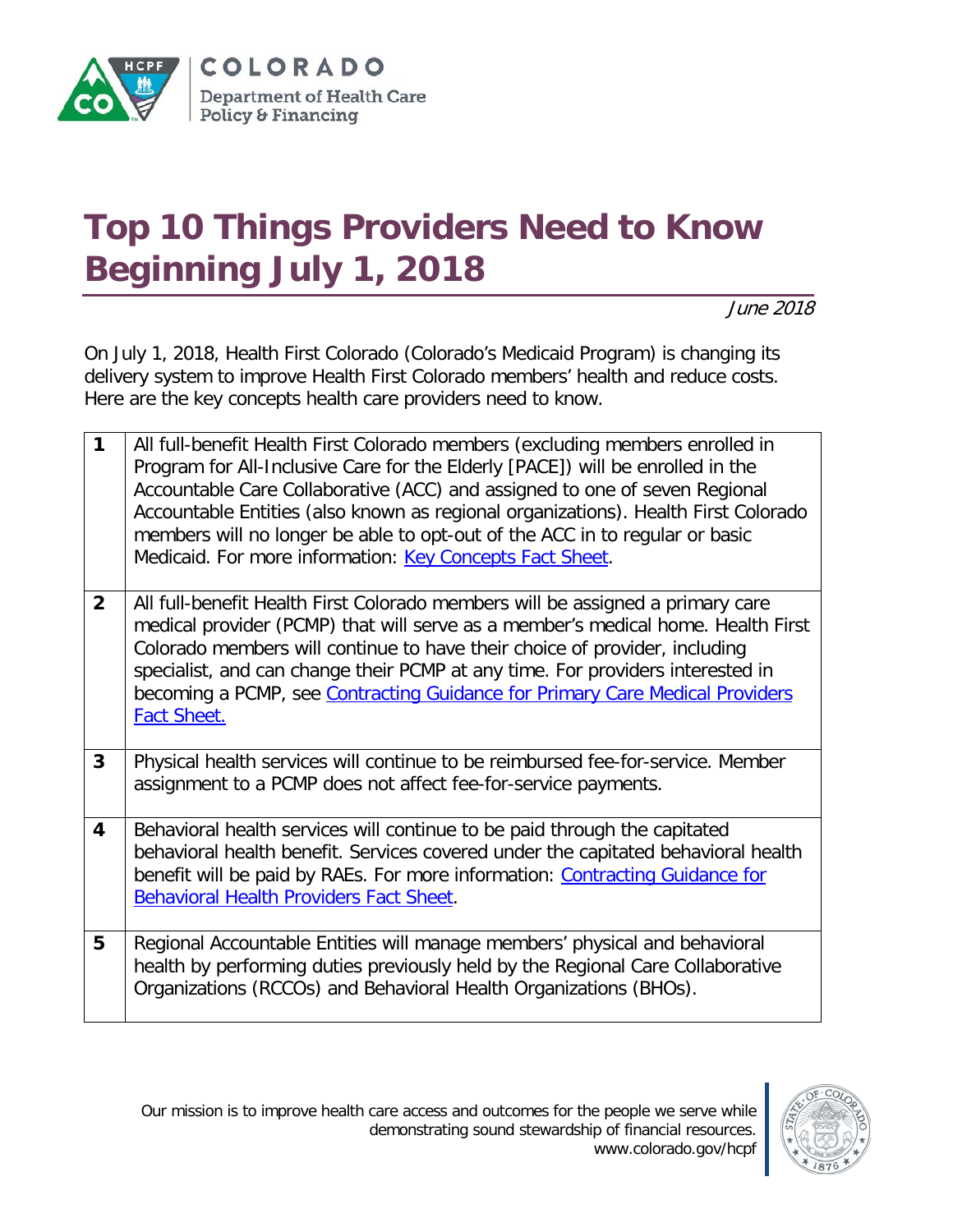

## **Top 10 Things Providers Need to Know Beginning July 1, 2018**

June 2018

On July 1, 2018, Health First Colorado (Colorado's Medicaid Program) is changing its delivery system to improve Health First Colorado members' health and reduce costs. Here are the key concepts health care providers need to know.

| $\mathbf{1}$            | All full-benefit Health First Colorado members (excluding members enrolled in<br>Program for All-Inclusive Care for the Elderly [PACE]) will be enrolled in the<br>Accountable Care Collaborative (ACC) and assigned to one of seven Regional<br>Accountable Entities (also known as regional organizations). Health First Colorado<br>members will no longer be able to opt-out of the ACC in to regular or basic<br>Medicaid. For more information: Key Concepts Fact Sheet. |
|-------------------------|--------------------------------------------------------------------------------------------------------------------------------------------------------------------------------------------------------------------------------------------------------------------------------------------------------------------------------------------------------------------------------------------------------------------------------------------------------------------------------|
| $\overline{2}$          | All full-benefit Health First Colorado members will be assigned a primary care<br>medical provider (PCMP) that will serve as a member's medical home. Health First<br>Colorado members will continue to have their choice of provider, including<br>specialist, and can change their PCMP at any time. For providers interested in<br>becoming a PCMP, see Contracting Guidance for Primary Care Medical Providers<br><b>Fact Sheet.</b>                                       |
| $\overline{3}$          | Physical health services will continue to be reimbursed fee-for-service. Member<br>assignment to a PCMP does not affect fee-for-service payments.                                                                                                                                                                                                                                                                                                                              |
| $\overline{\mathbf{4}}$ | Behavioral health services will continue to be paid through the capitated<br>behavioral health benefit. Services covered under the capitated behavioral health<br>benefit will be paid by RAEs. For more information: Contracting Guidance for<br>Behavioral Health Providers Fact Sheet.                                                                                                                                                                                      |
| 5                       | Regional Accountable Entities will manage members' physical and behavioral<br>health by performing duties previously held by the Regional Care Collaborative<br>Organizations (RCCOs) and Behavioral Health Organizations (BHOs).                                                                                                                                                                                                                                              |